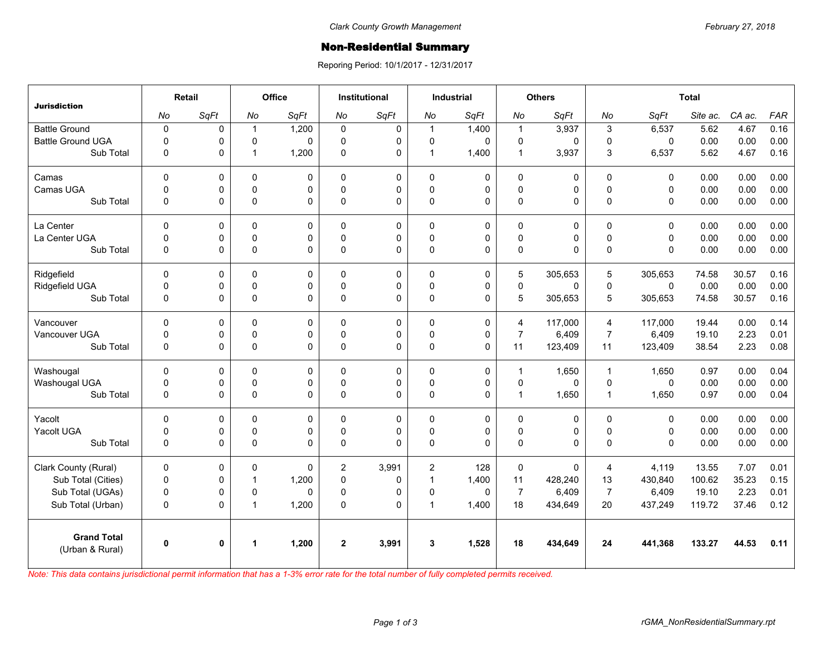## Non-Residential Summary

Reporing Period: 10/1/2017 - 12/31/2017

| <b>Jurisdiction</b>                   | <b>Retail</b> |      | Office         |              | Institutional  |       | Industrial     |             | <b>Others</b>  |             | <b>Total</b>   |              |          |        |      |
|---------------------------------------|---------------|------|----------------|--------------|----------------|-------|----------------|-------------|----------------|-------------|----------------|--------------|----------|--------|------|
|                                       | No            | SqFt | No             | SqFt         | No             | SqFt  | No             | SqFt        | No             | SqFt        | No             | SqFt         | Site ac. | CA ac. | FAR  |
| <b>Battle Ground</b>                  | $\mathbf 0$   | 0    | $\mathbf{1}$   | 1,200        | $\Omega$       | 0     | $\mathbf{1}$   | 1,400       | $\mathbf{1}$   | 3,937       | 3              | 6,537        | 5.62     | 4.67   | 0.16 |
| <b>Battle Ground UGA</b>              | $\mathbf 0$   | 0    | $\mathbf 0$    | $\Omega$     | $\Omega$       | 0     | 0              | $\Omega$    | 0              | 0           | 0              | 0            | 0.00     | 0.00   | 0.00 |
| Sub Total                             | $\Omega$      | 0    | $\mathbf{1}$   | 1,200        | $\Omega$       | 0     | $\mathbf{1}$   | 1,400       | $\mathbf{1}$   | 3,937       | 3              | 6,537        | 5.62     | 4.67   | 0.16 |
| Camas                                 | $\mathbf 0$   | 0    | $\mathbf 0$    | 0            | $\Omega$       | 0     | $\mathbf 0$    | 0           | 0              | 0           | $\Omega$       | $\Omega$     | 0.00     | 0.00   | 0.00 |
| Camas UGA                             | $\pmb{0}$     | 0    | $\pmb{0}$      | 0            | $\mathbf 0$    | 0     | 0              | 0           | $\pmb{0}$      | 0           | $\pmb{0}$      | 0            | 0.00     | 0.00   | 0.00 |
| Sub Total                             | $\mathbf 0$   | 0    | $\pmb{0}$      | $\Omega$     | 0              | 0     | 0              | 0           | $\mathsf 0$    | 0           | $\Omega$       | 0            | 0.00     | 0.00   | 0.00 |
| La Center                             | $\Omega$      | 0    | $\Omega$       | $\Omega$     | $\Omega$       | 0     | $\mathbf 0$    | 0           | 0              | 0           | $\Omega$       | $\Omega$     | 0.00     | 0.00   | 0.00 |
| La Center UGA                         | $\mathbf 0$   | 0    | 0              | 0            | $\mathbf{0}$   | 0     | 0              | 0           | $\pmb{0}$      | 0           | $\mathbf 0$    | 0            | 0.00     | 0.00   | 0.00 |
| Sub Total                             | $\Omega$      | 0    | $\mathbf 0$    | $\Omega$     | $\Omega$       | 0     | $\Omega$       | $\Omega$    | $\pmb{0}$      | $\Omega$    | $\Omega$       | $\Omega$     | 0.00     | 0.00   | 0.00 |
| Ridgefield                            | $\Omega$      | 0    | 0              | 0            | $\Omega$       | 0     | $\mathbf 0$    | 0           | 5              | 305,653     | 5              | 305,653      | 74.58    | 30.57  | 0.16 |
| Ridgefield UGA                        | $\pmb{0}$     | 0    | 0              | 0            | $\mathbf 0$    | 0     | 0              | 0           | $\pmb{0}$      | 0           | $\mathbf 0$    | $\mathbf 0$  | 0.00     | 0.00   | 0.00 |
| Sub Total                             | $\mathbf 0$   | 0    | $\mathbf 0$    | $\Omega$     | $\Omega$       | 0     | 0              | $\Omega$    | 5              | 305,653     | 5              | 305,653      | 74.58    | 30.57  | 0.16 |
| Vancouver                             | $\mathbf 0$   | 0    | $\Omega$       | 0            | $\Omega$       | 0     | $\mathbf 0$    | 0           | $\overline{4}$ | 117.000     | $\overline{4}$ | 117.000      | 19.44    | 0.00   | 0.14 |
| Vancouver UGA                         | $\mathbf 0$   | 0    | $\mathbf 0$    | $\Omega$     | $\mathbf{0}$   | 0     | 0              | 0           | $\overline{7}$ | 6,409       | $\overline{7}$ | 6,409        | 19.10    | 2.23   | 0.01 |
| Sub Total                             | $\mathbf 0$   | 0    | $\mathbf 0$    | $\Omega$     | $\Omega$       | 0     | $\mathbf 0$    | 0           | 11             | 123,409     | 11             | 123,409      | 38.54    | 2.23   | 0.08 |
| Washougal                             | $\mathbf 0$   | 0    | 0              | 0            | $\Omega$       | 0     | $\mathbf 0$    | $\mathbf 0$ | $\mathbf{1}$   | 1,650       | $\overline{1}$ | 1,650        | 0.97     | 0.00   | 0.04 |
| Washougal UGA                         | $\mathbf 0$   | 0    | $\mathbf 0$    | 0            | $\Omega$       | 0     | 0              | $\mathbf 0$ | $\mathbf 0$    | 0           | $\mathbf 0$    | $\Omega$     | 0.00     | 0.00   | 0.00 |
| Sub Total                             | $\mathbf 0$   | 0    | $\mathbf 0$    | $\Omega$     | 0              | 0     | 0              | $\mathbf 0$ | $\mathbf{1}$   | 1,650       | $\mathbf{1}$   | 1,650        | 0.97     | 0.00   | 0.04 |
| Yacolt                                | $\mathbf 0$   | 0    | $\mathbf 0$    | $\mathbf 0$  | 0              | 0     | $\mathbf 0$    | $\mathbf 0$ | 0              | 0           | $\Omega$       | 0            | 0.00     | 0.00   | 0.00 |
| Yacolt UGA                            | $\mathbf 0$   | 0    | $\mathbf 0$    | 0            | $\Omega$       | 0     | 0              | 0           | $\mathbf 0$    | 0           | $\Omega$       | $\mathbf{0}$ | 0.00     | 0.00   | 0.00 |
| Sub Total                             | $\mathbf 0$   | 0    | $\pmb{0}$      | $\Omega$     | 0              | 0     | 0              | $\Omega$    | 0              | 0           | $\Omega$       | $\Omega$     | 0.00     | 0.00   | 0.00 |
| Clark County (Rural)                  | $\mathbf 0$   | 0    | 0              | $\mathbf{0}$ | $\overline{2}$ | 3,991 | $\overline{2}$ | 128         | 0              | $\mathbf 0$ | 4              | 4,119        | 13.55    | 7.07   | 0.01 |
| Sub Total (Cities)                    | $\mathbf 0$   | 0    | $\overline{1}$ | 1,200        | $\Omega$       | 0     | $\mathbf{1}$   | 1,400       | 11             | 428,240     | 13             | 430,840      | 100.62   | 35.23  | 0.15 |
| Sub Total (UGAs)                      | $\mathbf 0$   | 0    | 0              | $\Omega$     | $\Omega$       | 0     | 0              | 0           | $\overline{7}$ | 6,409       | $\overline{7}$ | 6,409        | 19.10    | 2.23   | 0.01 |
| Sub Total (Urban)                     | $\Omega$      | 0    | $\overline{1}$ | 1,200        | $\Omega$       | 0     | $\overline{1}$ | 1,400       | 18             | 434,649     | 20             | 437,249      | 119.72   | 37.46  | 0.12 |
| <b>Grand Total</b><br>(Urban & Rural) | 0             | 0    | 1              | 1,200        | $\mathbf{2}$   | 3,991 | 3              | 1,528       | 18             | 434,649     | 24             | 441,368      | 133.27   | 44.53  | 0.11 |

*Note: This data contains jurisdictional permit information that has a 1-3% error rate for the total number of fully completed permits received.*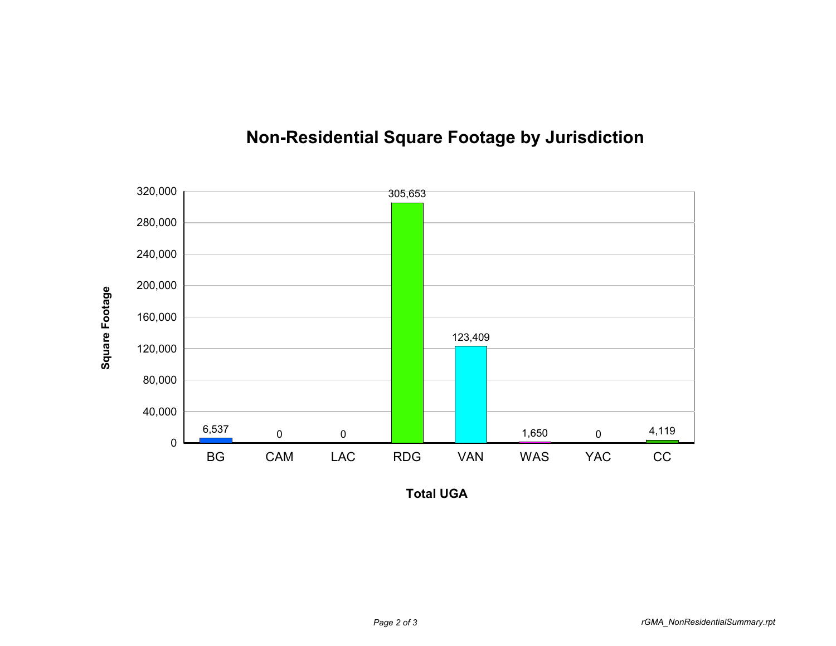

## **Non-Residential Square Footage by Jurisdiction**

**Total UGA**